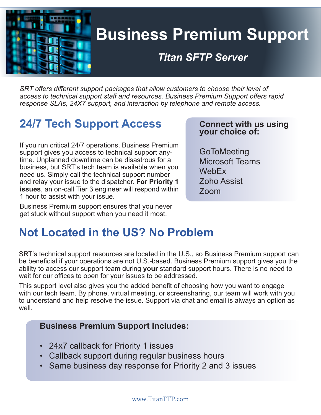

# **Business Premium Support**

### *Titan SFTP Server*

*SRT offers different support packages that allow customers to choose their level of access to technical support staff and resources. Business Premium Support offers rapid response SLAs, 24X7 support, and interaction by telephone and remote access.*

# **24/7 Tech Support Access**

If you run critical 24/7 operations, Business Premium support gives you access to technical support anytime. Unplanned downtime can be disastrous for a business, but SRT's tech team is available when you need us. Simply call the technical support number and relay your issue to the dispatcher. **For Priority 1 issues**, an on-call Tier 3 engineer will respond within 1 hour to assist with your issue.

Business Premium support ensures that you never get stuck without support when you need it most.

### **Tital FTP Server Server Server**<br> **PERSON** Sour choice of: **Connect with us using**

**GoToMeeting** Microsoft Teams **WebFx** Zoho Assist Zoom

# **Not Located in the US? No Problem**

SRT's technical support resources are located in the U.S., so Business Premium support can be beneficial if your operations are not U.S.-based. Business Premium support gives you the ability to access our support team during **your** standard support hours. There is no need to wait for our offices to open for your issues to be addressed.

This support level also gives you the added benefit of choosing how you want to engage with our tech team. By phone, virtual meeting, or screensharing, our team will work with you to understand and help resolve the issue. Support via chat and email is always an option as well.

#### **Business Premium Support Includes:**

- 24x7 callback for Priority 1 issues
- Callback support during regular business hours
- Same business day response for Priority 2 and 3 issues